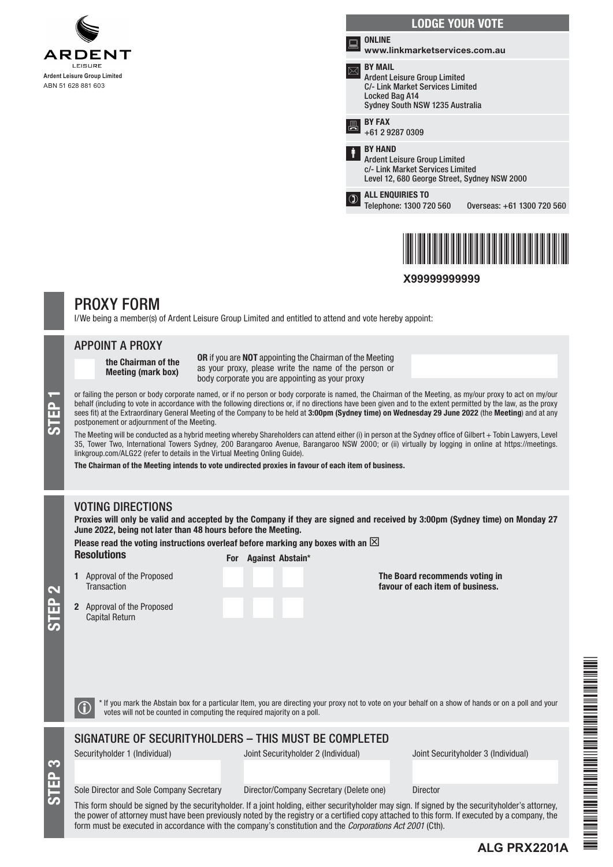





**X99999999999**

# PROXY FORM

I/We being a member(s) of Ardent Leisure Group Limited and entitled to attend and vote hereby appoint:

### APPOINT A PROXY

the Chairman of the Meeting (mark box)

OR if you are NOT appointing the Chairman of the Meeting as your proxy, please write the name of the person or body corporate you are appointing as your proxy

or failing the person or body corporate named, or if no person or body corporate is named, the Chairman of the Meeting, as my/our proxy to act on my/our<br>behalf (including to vote in accordance with the following directions behalf (including to vote in accordance with the following directions or, if no directions have been given and to the extent permitted by the law, as the proxy sees fit) at the Extraordinary General Meeting of the Company to be held at 3:00pm (Sydney time) on Wednesday 29 June 2022 (the Meeting) and at any postponement or adjournment of the Meeting.

The Meeting will be conducted as a hybrid meeting whereby Shareholders can attend either (i) in person at the Sydney office of Gilbert + Tobin Lawyers, Level 35, Tower Two, International Towers Sydney, 200 Barangaroo Avenue, Barangaroo NSW 2000; or (ii) virtually by logging in online at https://meetings. linkgroup.com/ALG22 (refer to details in the Virtual Meeting Onling Guide).

The Chairman of the Meeting intends to vote undirected proxies in favour of each item of business.

# VOTING DIRECTIONS

Proxies will only be valid and accepted by the Company if they are signed and received by 3:00pm (Sydney time) on Monday 27 June 2022, being not later than 48 hours before the Meeting.

Please read the voting instructions overleaf before marking any boxes with an  $\boxtimes$ 

Resolutions For Against Abstain\*

1 Approval of the Proposed **Transaction** 

2 Approval of the Proposed Capital Return

The Board recommends voting in favour of each item of business.

 $\bigodot$  \* If you mark the Abstain box for a particular Item, you are directing your proxy not to vote on your behalf on a show of hands or on a poll and your votes will not be counted in computing the required majority on

## SIGNATURE OF SECURITYHOLDERS – THIS MUST BE COMPLETED

S<br>EP 3

STEP 2

Securityholder 1 (Individual) Joint Securityholder 2 (Individual) Joint Securityholder 3 (Individual)

**ALG PRX2201A**

### Sole Director and Sole Company Secretary Director/Company Secretary (Delete one) Director

This form should be signed by the securityholder. If a joint holding, either securityholder may sign. If signed by the securityholder's attorney, the power of attorney must have been previously noted by the registry or a certified copy attached to this form. If executed by a company, the form must be executed in accordance with the company's constitution and the *Corporations Act 2001* (Cth).